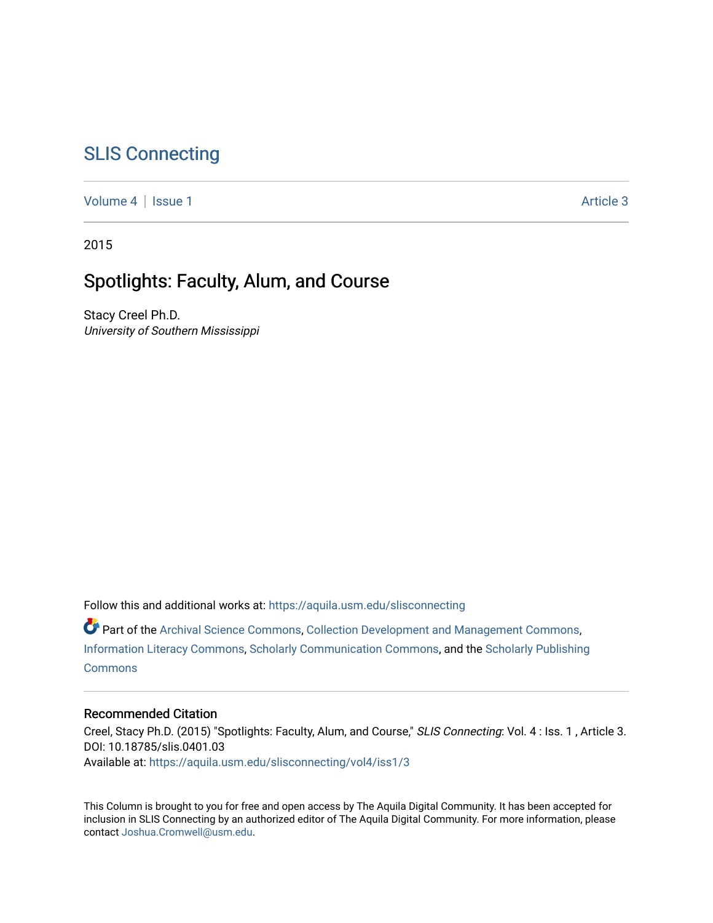# [SLIS Connecting](https://aquila.usm.edu/slisconnecting)

[Volume 4](https://aquila.usm.edu/slisconnecting/vol4) | [Issue 1](https://aquila.usm.edu/slisconnecting/vol4/iss1) Article 3

2015

## Spotlights: Faculty, Alum, and Course

Stacy Creel Ph.D. University of Southern Mississippi

Follow this and additional works at: [https://aquila.usm.edu/slisconnecting](https://aquila.usm.edu/slisconnecting?utm_source=aquila.usm.edu%2Fslisconnecting%2Fvol4%2Fiss1%2F3&utm_medium=PDF&utm_campaign=PDFCoverPages) 

Part of the [Archival Science Commons,](http://network.bepress.com/hgg/discipline/1021?utm_source=aquila.usm.edu%2Fslisconnecting%2Fvol4%2Fiss1%2F3&utm_medium=PDF&utm_campaign=PDFCoverPages) [Collection Development and Management Commons,](http://network.bepress.com/hgg/discipline/1271?utm_source=aquila.usm.edu%2Fslisconnecting%2Fvol4%2Fiss1%2F3&utm_medium=PDF&utm_campaign=PDFCoverPages) [Information Literacy Commons,](http://network.bepress.com/hgg/discipline/1243?utm_source=aquila.usm.edu%2Fslisconnecting%2Fvol4%2Fiss1%2F3&utm_medium=PDF&utm_campaign=PDFCoverPages) [Scholarly Communication Commons](http://network.bepress.com/hgg/discipline/1272?utm_source=aquila.usm.edu%2Fslisconnecting%2Fvol4%2Fiss1%2F3&utm_medium=PDF&utm_campaign=PDFCoverPages), and the [Scholarly Publishing](http://network.bepress.com/hgg/discipline/1273?utm_source=aquila.usm.edu%2Fslisconnecting%2Fvol4%2Fiss1%2F3&utm_medium=PDF&utm_campaign=PDFCoverPages)  **[Commons](http://network.bepress.com/hgg/discipline/1273?utm_source=aquila.usm.edu%2Fslisconnecting%2Fvol4%2Fiss1%2F3&utm_medium=PDF&utm_campaign=PDFCoverPages)** 

#### Recommended Citation

Creel, Stacy Ph.D. (2015) "Spotlights: Faculty, Alum, and Course," SLIS Connecting: Vol. 4 : Iss. 1 , Article 3. DOI: 10.18785/slis.0401.03 Available at: [https://aquila.usm.edu/slisconnecting/vol4/iss1/3](https://aquila.usm.edu/slisconnecting/vol4/iss1/3?utm_source=aquila.usm.edu%2Fslisconnecting%2Fvol4%2Fiss1%2F3&utm_medium=PDF&utm_campaign=PDFCoverPages)

This Column is brought to you for free and open access by The Aquila Digital Community. It has been accepted for inclusion in SLIS Connecting by an authorized editor of The Aquila Digital Community. For more information, please contact [Joshua.Cromwell@usm.edu.](mailto:Joshua.Cromwell@usm.edu)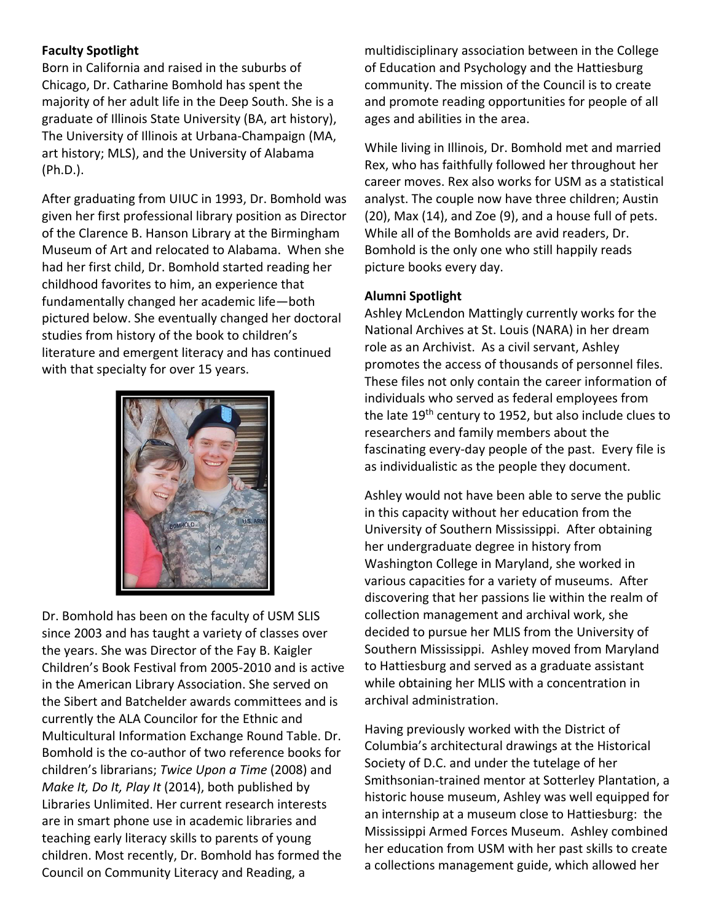## **Faculty Spotlight**

Born in California and raised in the suburbs of Chicago, Dr. Catharine Bomhold has spent the majority of her adult life in the Deep South. She is a graduate of Illinois State University (BA, art history), The University of Illinois at Urbana‐Champaign (MA, art history; MLS), and the University of Alabama (Ph.D.).

After graduating from UIUC in 1993, Dr. Bomhold was given her first professional library position as Director of the Clarence B. Hanson Library at the Birmingham Museum of Art and relocated to Alabama. When she had her first child, Dr. Bomhold started reading her childhood favorites to him, an experience that fundamentally changed her academic life—both pictured below. She eventually changed her doctoral studies from history of the book to children's literature and emergent literacy and has continued with that specialty for over 15 years.



Dr. Bomhold has been on the faculty of USM SLIS since 2003 and has taught a variety of classes over the years. She was Director of the Fay B. Kaigler Children's Book Festival from 2005‐2010 and is active in the American Library Association. She served on the Sibert and Batchelder awards committees and is currently the ALA Councilor for the Ethnic and Multicultural Information Exchange Round Table. Dr. Bomhold is the co‐author of two reference books for children's librarians; *Twice Upon a Time* (2008) and *Make It, Do It, Play It* (2014), both published by Libraries Unlimited. Her current research interests are in smart phone use in academic libraries and teaching early literacy skills to parents of young children. Most recently, Dr. Bomhold has formed the Council on Community Literacy and Reading, a

multidisciplinary association between in the College of Education and Psychology and the Hattiesburg community. The mission of the Council is to create and promote reading opportunities for people of all ages and abilities in the area.

While living in Illinois, Dr. Bomhold met and married Rex, who has faithfully followed her throughout her career moves. Rex also works for USM as a statistical analyst. The couple now have three children; Austin (20), Max (14), and Zoe (9), and a house full of pets. While all of the Bomholds are avid readers, Dr. Bomhold is the only one who still happily reads picture books every day.

#### **Alumni Spotlight**

Ashley McLendon Mattingly currently works for the National Archives at St. Louis (NARA) in her dream role as an Archivist. As a civil servant, Ashley promotes the access of thousands of personnel files. These files not only contain the career information of individuals who served as federal employees from the late 19th century to 1952, but also include clues to researchers and family members about the fascinating every‐day people of the past. Every file is as individualistic as the people they document.

Ashley would not have been able to serve the public in this capacity without her education from the University of Southern Mississippi. After obtaining her undergraduate degree in history from Washington College in Maryland, she worked in various capacities for a variety of museums. After discovering that her passions lie within the realm of collection management and archival work, she decided to pursue her MLIS from the University of Southern Mississippi. Ashley moved from Maryland to Hattiesburg and served as a graduate assistant while obtaining her MLIS with a concentration in archival administration.

Having previously worked with the District of Columbia's architectural drawings at the Historical Society of D.C. and under the tutelage of her Smithsonian‐trained mentor at Sotterley Plantation, a historic house museum, Ashley was well equipped for an internship at a museum close to Hattiesburg: the Mississippi Armed Forces Museum. Ashley combined her education from USM with her past skills to create a collections management guide, which allowed her